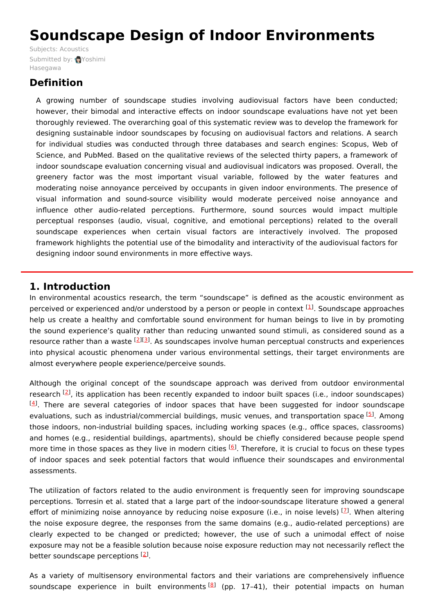# **Soundscape Design of Indoor Environments**

Subjects: [Acoustics](https://encyclopedia.pub/item/subject/21) [Submitted](https://sciprofiles.com/profile/1116538) by: Yoshimi Hasegawa

# **Definition**

A growing number of soundscape studies involving audiovisual factors have been conducted; however, their bimodal and interactive effects on indoor soundscape evaluations have not yet been thoroughly reviewed. The overarching goal of this systematic review was to develop the framework for designing sustainable indoor soundscapes by focusing on audiovisual factors and relations. A search for individual studies was conducted through three databases and search engines: Scopus, Web of Science, and PubMed. Based on the qualitative reviews of the selected thirty papers, a framework of indoor soundscape evaluation concerning visual and audiovisual indicators was proposed. Overall, the greenery factor was the most important visual variable, followed by the water features and moderating noise annoyance perceived by occupants in given indoor environments. The presence of visual information and sound-source visibility would moderate perceived noise annoyance and influence other audio-related perceptions. Furthermore, sound sources would impact multiple perceptual responses (audio, visual, cognitive, and emotional perceptions) related to the overall soundscape experiences when certain visual factors are interactively involved. The proposed framework highlights the potential use of the bimodality and interactivity of the audiovisual factors for designing indoor sound environments in more effective ways.

## **1. Introduction**

In environmental acoustics research, the term "soundscape" is defined as the acoustic environment as perceived or experienced and/or understood by a person or people in context <sup>[[1](#page-5-0)]</sup>. Soundscape approaches help us create a healthy and comfortable sound environment for human beings to live in by promoting the sound experience's quality rather than reducing unwanted sound stimuli, as considered sound as a resource rather than a waste <sup>[[2](#page-5-1)][\[3](#page-5-2)]</sup>. As soundscapes involve human perceptual constructs and experiences into physical acoustic phenomena under various environmental settings, their target environments are almost everywhere people experience/perceive sounds.

Although the original concept of the soundscape approach was derived from outdoor environmental research <sup>[\[2](#page-5-1)]</sup>, its application has been recently expanded to indoor built spaces (i.e., indoor soundscapes)  $[4]$  $[4]$  $[4]$ . There are several categories of indoor spaces that have been suggested for indoor soundscape evaluations, such as industrial/commercial buildings, music venues, and transportation space <sup>[[5](#page-5-4)]</sup>. Among those indoors, non-industrial building spaces, including working spaces (e.g., office spaces, classrooms) and homes (e.g., residential buildings, apartments), should be chiefly considered because people spend more time in those spaces as they live in modern cities <sup>[\[6](#page-5-5)]</sup>. Therefore, it is crucial to focus on these types of indoor spaces and seek potential factors that would influence their soundscapes and environmental assessments.

The utilization of factors related to the audio environment is frequently seen for improving soundscape perceptions. Torresin et al. stated that a large part of the indoor-soundscape literature showed a general effort of minimizing noise annoyance by reducing noise exposure (i.e., in noise levels) [Z]. When altering the noise exposure degree, the responses from the same domains (e.g., audio-related perceptions) are clearly expected to be changed or predicted; however, the use of such a unimodal effect of noise exposure may not be a feasible solution because noise exposure reduction may not necessarily reflect the better soundscape perceptions [[2](#page-5-1)].

As a variety of multisensory environmental factors and their variations are comprehensively influence soundscape experience in built environments<sup>[\[8](#page-5-7)]</sup> (pp. 17-41), their potential impacts on human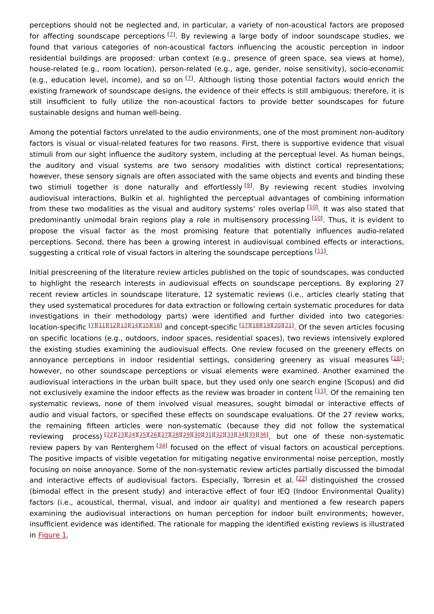perceptions should not be neglected and, in particular, a variety of non-acoustical factors are proposed for affecting soundscape perceptions <sup>[\[7](#page-5-6)]</sup>. By reviewing a large body of indoor soundscape studies, we found that various categories of non-acoustical factors influencing the acoustic perception in indoor residential buildings are proposed: urban context (e.g., presence of green space, sea views at home), house-related (e.g., room location), person-related (e.g., age, gender, noise sensitivity), socio-economic (e.g., education level, income), and so on  $^{[1]}$ . Although listing those potential factors would enrich the existing framework of soundscape designs, the evidence of their effects is still ambiguous; therefore, it is still insufficient to fully utilize the non-acoustical factors to provide better soundscapes for future sustainable designs and human well-being.

Among the potential factors unrelated to the audio environments, one of the most prominent non-auditory factors is visual or visual-related features for two reasons. First, there is supportive evidence that visual stimuli from our sight influence the auditory system, including at the perceptual level. As human beings, the auditory and visual systems are two sensory modalities with distinct cortical representations; however, these sensory signals are often associated with the same objects and events and binding these two stimuli together is done naturally and effortlessly<sup>[[9](#page-5-8)]</sup>. By reviewing recent studies involving audiovisual interactions, Bulkin et al. highlighted the perceptual advantages of combining information from these two modalities as the visual and auditory systems' roles overlap [[10](#page-5-9)]. It was also stated that predominantly unimodal brain regions play a role in multisensory processing [\[10\]](#page-5-9). Thus, it is evident to propose the visual factor as the most promising feature that potentially influences audio-related perceptions. Second, there has been a growing interest in audiovisual combined effects or interactions, suggesting a critical role of visual factors in altering the soundscape perceptions [\[11](#page-5-10)].

Initial prescreening of the literature review articles published on the topic of soundscapes, was conducted to highlight the research interests in audiovisual effects on soundscape perceptions. By exploring 27 recent review articles in soundscape literature, 12 systematic reviews (i.e., articles clearly stating that they used systematical procedures for data extraction or following certain systematic procedures for data investigations in their methodology parts) were identified and further divided into two categories: location-specific [\[7](#page-5-6)][\[11](#page-5-10)][\[12](#page-5-11)][\[13](#page-5-12)][\[14](#page-5-13)][\[15](#page-5-14)][\[16](#page-5-15)] and concept-specific [[17\]](#page-5-16)[[18\]](#page-5-17)[[19\]](#page-5-18)[[20\]](#page-5-19)[[21](#page-5-20)]. Of the seven articles focusing on specific locations (e.g., outdoors, indoor spaces, residential spaces), two reviews intensively explored the existing studies examining the audiovisual effects. One review focused on the greenery effects on annoyance perceptions in indoor residential settings, considering greenery as visual measures [\[16](#page-5-15)]; however, no other soundscape perceptions or visual elements were examined. Another examined the audiovisual interactions in the urban built space, but they used only one search engine (Scopus) and did not exclusively examine the indoor effects as the review was broader in content [\[11](#page-5-10)]. Of the remaining ten systematic reviews, none of them involved visual measures, sought bimodal or interactive effects of audio and visual factors, or specified these effects on soundscape evaluations. Of the 27 review works, the remaining fifteen articles were non-systematic (because they did not follow the systematical reviewing process)<sup>[[22](#page-5-21)][\[23](#page-5-22)][[24](#page-5-23)][\[25](#page-5-24)][[26](#page-6-0)][\[27](#page-6-1)][[28](#page-6-2)][\[29](#page-6-3)][[30](#page-6-4)][\[31](#page-6-5)][[32](#page-6-6)][\[33](#page-6-7)][[34](#page-6-8)][\[35](#page-6-9)][[36](#page-6-10)], but one of these non-systematic</sup> review papers by van Renterghem <a>[[34](#page-6-8)]</a> focused on the effect of visual factors on acoustical perceptions. The positive impacts of visible vegetation for mitigating negative environmental noise perception, mostly focusing on noise annoyance. Some of the non-systematic review articles partially discussed the bimodal and interactive effects of audiovisual factors. Especially, Torresin et al. [[22](#page-5-21)] distinguished the crossed (bimodal effect in the present study) and interactive effect of four IEQ (Indoor Environmental Quality) factors (i.e., acoustical, thermal, visual, and indoor air quality) and mentioned a few research papers examining the audiovisual interactions on human perception for indoor built environments; however, insufficient evidence was identified. The rationale for mapping the identified existing reviews is illustrated in [Figure](https://www.mdpi.com/2071-1050/13/1/339/htm#fig_body_display_sustainability-13-00339-f001) 1.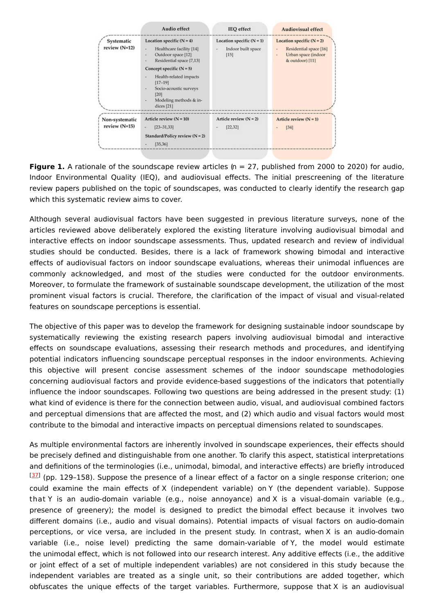

**Figure 1.** A rationale of the soundscape review articles (n = 27, published from 2000 to 2020) for audio, Indoor Environmental Quality (IEQ), and audiovisual effects. The initial prescreening of the literature review papers published on the topic of soundscapes, was conducted to clearly identify the research gap which this systematic review aims to cover.

Although several audiovisual factors have been suggested in previous literature surveys, none of the articles reviewed above deliberately explored the existing literature involving audiovisual bimodal and interactive effects on indoor soundscape assessments. Thus, updated research and review of individual studies should be conducted. Besides, there is a lack of framework showing bimodal and interactive effects of audiovisual factors on indoor soundscape evaluations, whereas their unimodal influences are commonly acknowledged, and most of the studies were conducted for the outdoor environments. Moreover, to formulate the framework of sustainable soundscape development, the utilization of the most prominent visual factors is crucial. Therefore, the clarification of the impact of visual and visual-related features on soundscape perceptions is essential.

The objective of this paper was to develop the framework for designing sustainable indoor soundscape by systematically reviewing the existing research papers involving audiovisual bimodal and interactive effects on soundscape evaluations, assessing their research methods and procedures, and identifying potential indicators influencing soundscape perceptual responses in the indoor environments. Achieving this objective will present concise assessment schemes of the indoor soundscape methodologies concerning audiovisual factors and provide evidence-based suggestions of the indicators that potentially influence the indoor soundscapes. Following two questions are being addressed in the present study: (1) what kind of evidence is there for the connection between audio, visual, and audiovisual combined factors and perceptual dimensions that are affected the most, and (2) which audio and visual factors would most contribute to the bimodal and interactive impacts on perceptual dimensions related to soundscapes.

As multiple environmental factors are inherently involved in soundscape experiences, their effects should be precisely defined and distinguishable from one another. To clarify this aspect, statistical interpretations and definitions of the terminologies (i.e., unimodal, bimodal, and interactive effects) are briefly introduced [[37](#page-6-11)] (pp. 129-158). Suppose the presence of a linear effect of a factor on a single response criterion; one could examine the main effects of X (independent variable) on Y (the dependent variable). Suppose that Y is an audio-domain variable (e.g., noise annoyance) and X is a visual-domain variable (e.g., presence of greenery); the model is designed to predict the bimodal effect because it involves two different domains (i.e., audio and visual domains). Potential impacts of visual factors on audio-domain perceptions, or vice versa, are included in the present study. In contrast, when X is an audio-domain variable (i.e., noise level) predicting the same domain-variable of Y, the model would estimate the unimodal effect, which is not followed into our research interest. Any additive effects (i.e., the additive or joint effect of a set of multiple independent variables) are not considered in this study because the independent variables are treated as a single unit, so their contributions are added together, which obfuscates the unique effects of the target variables. Furthermore, suppose that X is an audiovisual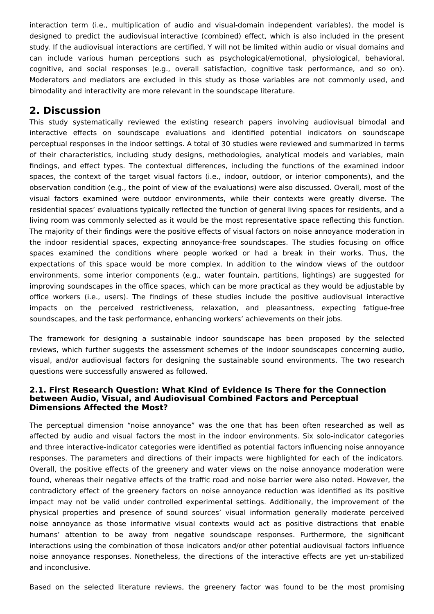interaction term (i.e., multiplication of audio and visual-domain independent variables), the model is designed to predict the audiovisual interactive (combined) effect, which is also included in the present study. If the audiovisual interactions are certified, Y will not be limited within audio or visual domains and can include various human perceptions such as psychological/emotional, physiological, behavioral, cognitive, and social responses (e.g., overall satisfaction, cognitive task performance, and so on). Moderators and mediators are excluded in this study as those variables are not commonly used, and bimodality and interactivity are more relevant in the soundscape literature.

## **2. Discussion**

This study systematically reviewed the existing research papers involving audiovisual bimodal and interactive effects on soundscape evaluations and identified potential indicators on soundscape perceptual responses in the indoor settings. A total of 30 studies were reviewed and summarized in terms of their characteristics, including study designs, methodologies, analytical models and variables, main findings, and effect types. The contextual differences, including the functions of the examined indoor spaces, the context of the target visual factors (i.e., indoor, outdoor, or interior components), and the observation condition (e.g., the point of view of the evaluations) were also discussed. Overall, most of the visual factors examined were outdoor environments, while their contexts were greatly diverse. The residential spaces' evaluations typically reflected the function of general living spaces for residents, and a living room was commonly selected as it would be the most representative space reflecting this function. The majority of their findings were the positive effects of visual factors on noise annoyance moderation in the indoor residential spaces, expecting annoyance-free soundscapes. The studies focusing on office spaces examined the conditions where people worked or had a break in their works. Thus, the expectations of this space would be more complex. In addition to the window views of the outdoor environments, some interior components (e.g., water fountain, partitions, lightings) are suggested for improving soundscapes in the office spaces, which can be more practical as they would be adjustable by office workers (i.e., users). The findings of these studies include the positive audiovisual interactive impacts on the perceived restrictiveness, relaxation, and pleasantness, expecting fatigue-free soundscapes, and the task performance, enhancing workers' achievements on their jobs.

The framework for designing a sustainable indoor soundscape has been proposed by the selected reviews, which further suggests the assessment schemes of the indoor soundscapes concerning audio, visual, and/or audiovisual factors for designing the sustainable sound environments. The two research questions were successfully answered as followed.

## **2.1. First Research Question: What Kind of Evidence Is There for the Connection between Audio, Visual, and Audiovisual Combined Factors and Perceptual Dimensions Affected the Most?**

The perceptual dimension "noise annoyance" was the one that has been often researched as well as affected by audio and visual factors the most in the indoor environments. Six solo-indicator categories and three interactive-indicator categories were identified as potential factors influencing noise annoyance responses. The parameters and directions of their impacts were highlighted for each of the indicators. Overall, the positive effects of the greenery and water views on the noise annoyance moderation were found, whereas their negative effects of the traffic road and noise barrier were also noted. However, the contradictory effect of the greenery factors on noise annoyance reduction was identified as its positive impact may not be valid under controlled experimental settings. Additionally, the improvement of the physical properties and presence of sound sources' visual information generally moderate perceived noise annoyance as those informative visual contexts would act as positive distractions that enable humans' attention to be away from negative soundscape responses. Furthermore, the significant interactions using the combination of those indicators and/or other potential audiovisual factors influence noise annoyance responses. Nonetheless, the directions of the interactive effects are yet un-stabilized and inconclusive.

Based on the selected literature reviews, the greenery factor was found to be the most promising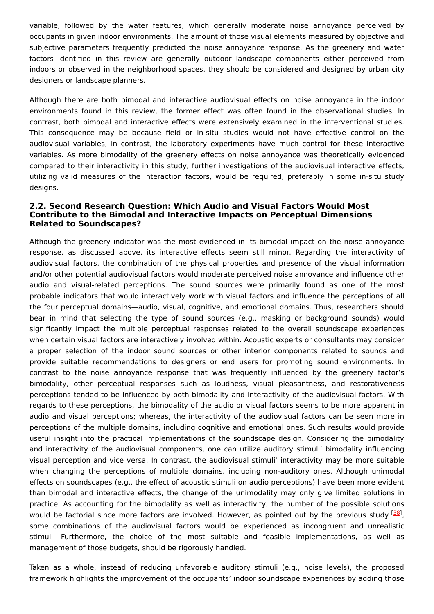variable, followed by the water features, which generally moderate noise annoyance perceived by occupants in given indoor environments. The amount of those visual elements measured by objective and subjective parameters frequently predicted the noise annoyance response. As the greenery and water factors identified in this review are generally outdoor landscape components either perceived from indoors or observed in the neighborhood spaces, they should be considered and designed by urban city designers or landscape planners.

Although there are both bimodal and interactive audiovisual effects on noise annoyance in the indoor environments found in this review, the former effect was often found in the observational studies. In contrast, both bimodal and interactive effects were extensively examined in the interventional studies. This consequence may be because field or in-situ studies would not have effective control on the audiovisual variables; in contrast, the laboratory experiments have much control for these interactive variables. As more bimodality of the greenery effects on noise annoyance was theoretically evidenced compared to their interactivity in this study, further investigations of the audiovisual interactive effects, utilizing valid measures of the interaction factors, would be required, preferably in some in-situ study designs.

### **2.2. Second Research Question: Which Audio and Visual Factors Would Most Contribute to the Bimodal and Interactive Impacts on Perceptual Dimensions Related to Soundscapes?**

Although the greenery indicator was the most evidenced in its bimodal impact on the noise annoyance response, as discussed above, its interactive effects seem still minor. Regarding the interactivity of audiovisual factors, the combination of the physical properties and presence of the visual information and/or other potential audiovisual factors would moderate perceived noise annoyance and influence other audio and visual-related perceptions. The sound sources were primarily found as one of the most probable indicators that would interactively work with visual factors and influence the perceptions of all the four perceptual domains—audio, visual, cognitive, and emotional domains. Thus, researchers should bear in mind that selecting the type of sound sources (e.g., masking or background sounds) would significantly impact the multiple perceptual responses related to the overall soundscape experiences when certain visual factors are interactively involved within. Acoustic experts or consultants may consider a proper selection of the indoor sound sources or other interior components related to sounds and provide suitable recommendations to designers or end users for promoting sound environments. In contrast to the noise annoyance response that was frequently influenced by the greenery factor's bimodality, other perceptual responses such as loudness, visual pleasantness, and restorativeness perceptions tended to be influenced by both bimodality and interactivity of the audiovisual factors. With regards to these perceptions, the bimodality of the audio or visual factors seems to be more apparent in audio and visual perceptions; whereas, the interactivity of the audiovisual factors can be seen more in perceptions of the multiple domains, including cognitive and emotional ones. Such results would provide useful insight into the practical implementations of the soundscape design. Considering the bimodality and interactivity of the audiovisual components, one can utilize auditory stimuli' bimodality influencing visual perception and vice versa. In contrast, the audiovisual stimuli' interactivity may be more suitable when changing the perceptions of multiple domains, including non-auditory ones. Although unimodal effects on soundscapes (e.g., the effect of acoustic stimuli on audio perceptions) have been more evident than bimodal and interactive effects, the change of the unimodality may only give limited solutions in practice. As accounting for the bimodality as well as interactivity, the number of the possible solutions would be factorial since more factors are involved. However, as pointed out by the previous study <sup>[\[38](#page-6-12)]</sup>, some combinations of the audiovisual factors would be experienced as incongruent and unrealistic stimuli. Furthermore, the choice of the most suitable and feasible implementations, as well as management of those budgets, should be rigorously handled.

Taken as a whole, instead of reducing unfavorable auditory stimuli (e.g., noise levels), the proposed framework highlights the improvement of the occupants' indoor soundscape experiences by adding those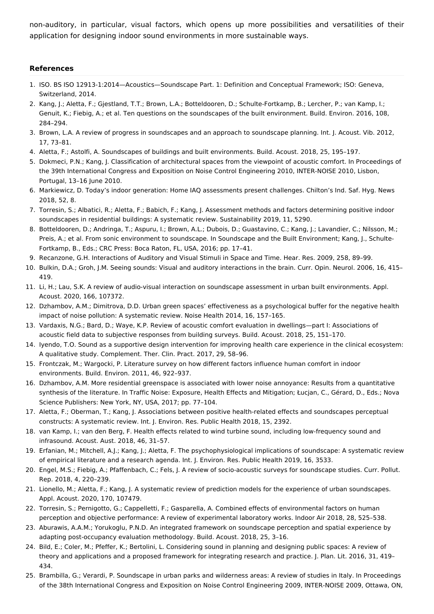non-auditory, in particular, visual factors, which opens up more possibilities and versatilities of their application for designing indoor sound environments in more sustainable ways.

#### **References**

- <span id="page-5-0"></span>1. ISO. BS ISO 12913-1:2014—Acoustics—Soundscape Part. 1: Definition and Conceptual Framework; ISO: Geneva, Switzerland, 2014.
- <span id="page-5-1"></span>2. Kang, J.; Aletta, F.; Gjestland, T.T.; Brown, L.A.; Botteldooren, D.; Schulte-Fortkamp, B.; Lercher, P.; van Kamp, I.; Genuit, K.; Fiebig, A.; et al. Ten questions on the soundscapes of the built environment. Build. Environ. 2016, 108, 284–294.
- <span id="page-5-2"></span>3. Brown, L.A. A review of progress in soundscapes and an approach to soundscape planning. Int. J. Acoust. Vib. 2012, 17, 73–81.
- <span id="page-5-3"></span>4. Aletta, F.; Astolfi, A. Soundscapes of buildings and built environments. Build. Acoust. 2018, 25, 195–197.
- <span id="page-5-4"></span>5. Dokmeci, P.N.; Kang, J. Classification of architectural spaces from the viewpoint of acoustic comfort. In Proceedings of the 39th International Congress and Exposition on Noise Control Engineering 2010, INTER-NOISE 2010, Lisbon, Portugal, 13–16 June 2010.
- <span id="page-5-5"></span>6. Markiewicz, D. Today's indoor generation: Home IAQ assessments present challenges. Chilton's Ind. Saf. Hyg. News 2018, 52, 8.
- <span id="page-5-6"></span>7. Torresin, S.; Albatici, R.; Aletta, F.; Babich, F.; Kang, J. Assessment methods and factors determining positive indoor soundscapes in residential buildings: A systematic review. Sustainability 2019, 11, 5290.
- <span id="page-5-7"></span>8. Botteldooren, D.; Andringa, T.; Aspuru, I.; Brown, A.L.; Dubois, D.; Guastavino, C.; Kang, J.; Lavandier, C.; Nilsson, M.; Preis, A.; et al. From sonic environment to soundscape. In Soundscape and the Built Environment; Kang, J., Schulte-Fortkamp, B., Eds.; CRC Press: Boca Raton, FL, USA, 2016; pp. 17–41.
- <span id="page-5-8"></span>9. Recanzone, G.H. Interactions of Auditory and Visual Stimuli in Space and Time. Hear. Res. 2009, 258, 89–99.
- <span id="page-5-9"></span>10. Bulkin, D.A.; Groh, J.M. Seeing sounds: Visual and auditory interactions in the brain. Curr. Opin. Neurol. 2006, 16, 415– 419.
- <span id="page-5-10"></span>11. Li, H.; Lau, S.K. A review of audio-visual interaction on soundscape assessment in urban built environments. Appl. Acoust. 2020, 166, 107372.
- <span id="page-5-11"></span>12. Dzhambov, A.M.; Dimitrova, D.D. Urban green spaces' effectiveness as a psychological buffer for the negative health impact of noise pollution: A systematic review. Noise Health 2014, 16, 157–165.
- <span id="page-5-12"></span>13. Vardaxis, N.G.; Bard, D.; Waye, K.P. Review of acoustic comfort evaluation in dwellings—part I: Associations of acoustic field data to subjective responses from building surveys. Build. Acoust. 2018, 25, 151–170.
- <span id="page-5-13"></span>14. Iyendo, T.O. Sound as a supportive design intervention for improving health care experience in the clinical ecosystem: A qualitative study. Complement. Ther. Clin. Pract. 2017, 29, 58–96.
- <span id="page-5-14"></span>15. Frontczak, M.; Wargocki, P. Literature survey on how different factors influence human comfort in indoor environments. Build. Environ. 2011, 46, 922–937.
- <span id="page-5-15"></span>16. Dzhambov, A.M. More residential greenspace is associated with lower noise annoyance: Results from a quantitative synthesis of the literature. In Traffic Noise: Exposure, Health Effects and Mitigation; Łucjan, C., Gérard, D., Eds.; Nova Science Publishers: New York, NY, USA, 2017; pp. 77–104.
- <span id="page-5-16"></span>17. Aletta, F.; Oberman, T.; Kang, J. Associations between positive health-related effects and soundscapes perceptual constructs: A systematic review. Int. J. Environ. Res. Public Health 2018, 15, 2392.
- <span id="page-5-17"></span>18. van Kamp, I.; van den Berg, F. Health effects related to wind turbine sound, including low-frequency sound and infrasound. Acoust. Aust. 2018, 46, 31–57.
- <span id="page-5-18"></span>19. Erfanian, M.; Mitchell, A.J.; Kang, J.; Aletta, F. The psychophysiological implications of soundscape: A systematic review of empirical literature and a research agenda. Int. J. Environ. Res. Public Health 2019, 16, 3533.
- <span id="page-5-19"></span>20. Engel, M.S.; Fiebig, A.; Pfaffenbach, C.; Fels, J. A review of socio-acoustic surveys for soundscape studies. Curr. Pollut. Rep. 2018, 4, 220–239.
- <span id="page-5-20"></span>21. Lionello, M.; Aletta, F.; Kang, J. A systematic review of prediction models for the experience of urban soundscapes. Appl. Acoust. 2020, 170, 107479.
- <span id="page-5-21"></span>22. Torresin, S.; Pernigotto, G.; Cappelletti, F.; Gasparella, A. Combined effects of environmental factors on human perception and objective performance: A review of experimental laboratory works. Indoor Air 2018, 28, 525–538.
- <span id="page-5-22"></span>23. Aburawis, A.A.M.; Yorukoglu, P.N.D. An integrated framework on soundscape perception and spatial experience by adapting post-occupancy evaluation methodology. Build. Acoust. 2018, 25, 3–16.
- <span id="page-5-23"></span>24. Bild, E.; Coler, M.; Pfeffer, K.; Bertolini, L. Considering sound in planning and designing public spaces: A review of theory and applications and a proposed framework for integrating research and practice. J. Plan. Lit. 2016, 31, 419– 434.
- <span id="page-5-24"></span>25. Brambilla, G.; Verardi, P. Soundscape in urban parks and wilderness areas: A review of studies in Italy. In Proceedings of the 38th International Congress and Exposition on Noise Control Engineering 2009, INTER-NOISE 2009, Ottawa, ON,